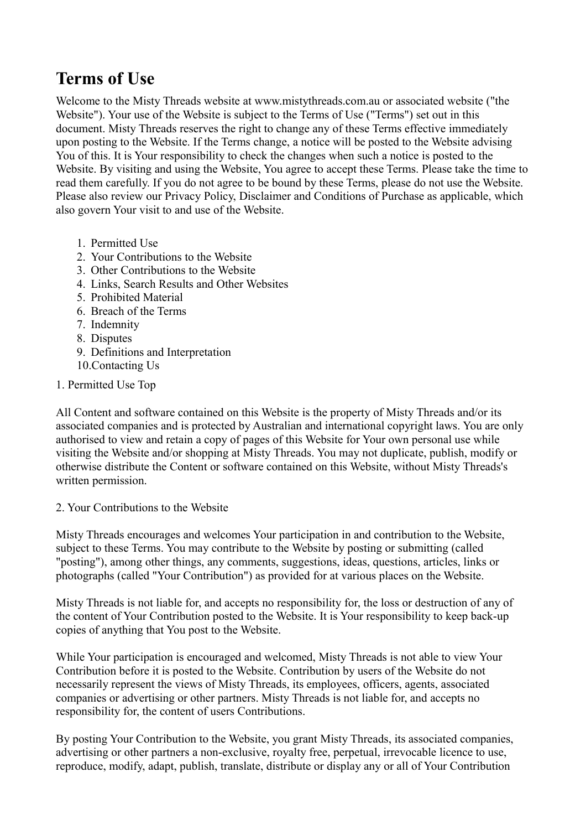# **Terms of Use**

Welcome to the Misty Threads website at www.mistythreads.com.au or associated website ("the Website"). Your use of the Website is subject to the Terms of Use ("Terms") set out in this document. Misty Threads reserves the right to change any of these Terms effective immediately upon posting to the Website. If the Terms change, a notice will be posted to the Website advising You of this. It is Your responsibility to check the changes when such a notice is posted to the Website. By visiting and using the Website, You agree to accept these Terms. Please take the time to read them carefully. If you do not agree to be bound by these Terms, please do not use the Website. Please also review our Privacy Policy, Disclaimer and Conditions of Purchase as applicable, which also govern Your visit to and use of the Website.

- 1. Permitted Use
- 2. Your Contributions to the Website
- 3. Other Contributions to the Website
- 4. Links, Search Results and Other Websites
- 5. Prohibited Material
- 6. Breach of the Terms
- 7. Indemnity
- 8. Disputes
- 9. Definitions and Interpretation
- 10.Contacting Us
- 1. Permitted Use Top

All Content and software contained on this Website is the property of Misty Threads and/or its associated companies and is protected by Australian and international copyright laws. You are only authorised to view and retain a copy of pages of this Website for Your own personal use while visiting the Website and/or shopping at Misty Threads. You may not duplicate, publish, modify or otherwise distribute the Content or software contained on this Website, without Misty Threads's written permission.

# 2. Your Contributions to the Website

Misty Threads encourages and welcomes Your participation in and contribution to the Website, subject to these Terms. You may contribute to the Website by posting or submitting (called "posting"), among other things, any comments, suggestions, ideas, questions, articles, links or photographs (called "Your Contribution") as provided for at various places on the Website.

Misty Threads is not liable for, and accepts no responsibility for, the loss or destruction of any of the content of Your Contribution posted to the Website. It is Your responsibility to keep back-up copies of anything that You post to the Website.

While Your participation is encouraged and welcomed, Misty Threads is not able to view Your Contribution before it is posted to the Website. Contribution by users of the Website do not necessarily represent the views of Misty Threads, its employees, officers, agents, associated companies or advertising or other partners. Misty Threads is not liable for, and accepts no responsibility for, the content of users Contributions.

By posting Your Contribution to the Website, you grant Misty Threads, its associated companies, advertising or other partners a non-exclusive, royalty free, perpetual, irrevocable licence to use, reproduce, modify, adapt, publish, translate, distribute or display any or all of Your Contribution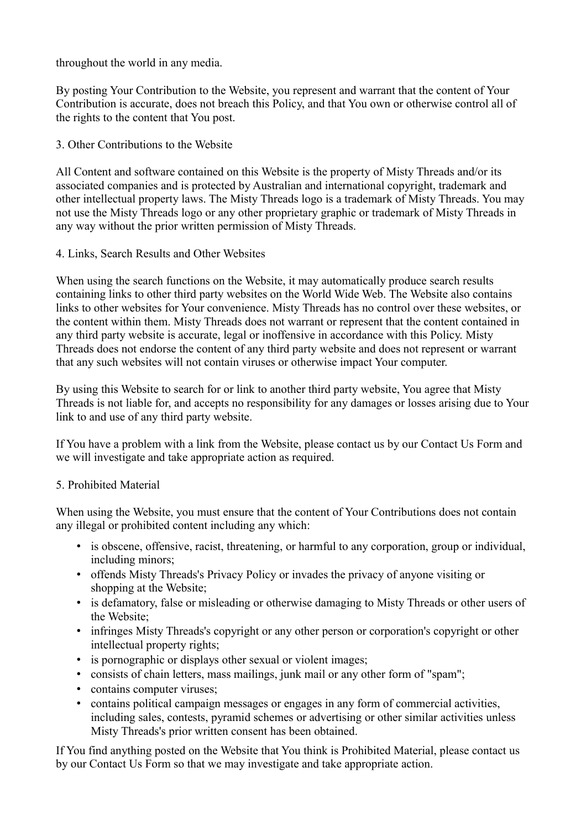throughout the world in any media.

By posting Your Contribution to the Website, you represent and warrant that the content of Your Contribution is accurate, does not breach this Policy, and that You own or otherwise control all of the rights to the content that You post.

3. Other Contributions to the Website

All Content and software contained on this Website is the property of Misty Threads and/or its associated companies and is protected by Australian and international copyright, trademark and other intellectual property laws. The Misty Threads logo is a trademark of Misty Threads. You may not use the Misty Threads logo or any other proprietary graphic or trademark of Misty Threads in any way without the prior written permission of Misty Threads.

#### 4. Links, Search Results and Other Websites

When using the search functions on the Website, it may automatically produce search results containing links to other third party websites on the World Wide Web. The Website also contains links to other websites for Your convenience. Misty Threads has no control over these websites, or the content within them. Misty Threads does not warrant or represent that the content contained in any third party website is accurate, legal or inoffensive in accordance with this Policy. Misty Threads does not endorse the content of any third party website and does not represent or warrant that any such websites will not contain viruses or otherwise impact Your computer.

By using this Website to search for or link to another third party website, You agree that Misty Threads is not liable for, and accepts no responsibility for any damages or losses arising due to Your link to and use of any third party website.

If You have a problem with a link from the Website, please contact us by our Contact Us Form and we will investigate and take appropriate action as required.

## 5. Prohibited Material

When using the Website, you must ensure that the content of Your Contributions does not contain any illegal or prohibited content including any which:

- is obscene, offensive, racist, threatening, or harmful to any corporation, group or individual, including minors;
- offends Misty Threads's Privacy Policy or invades the privacy of anyone visiting or shopping at the Website;
- is defamatory, false or misleading or otherwise damaging to Misty Threads or other users of the Website;
- infringes Misty Threads's copyright or any other person or corporation's copyright or other intellectual property rights;
- is pornographic or displays other sexual or violent images;
- consists of chain letters, mass mailings, junk mail or any other form of "spam";
- contains computer viruses;
- contains political campaign messages or engages in any form of commercial activities, including sales, contests, pyramid schemes or advertising or other similar activities unless Misty Threads's prior written consent has been obtained.

If You find anything posted on the Website that You think is Prohibited Material, please contact us by our Contact Us Form so that we may investigate and take appropriate action.